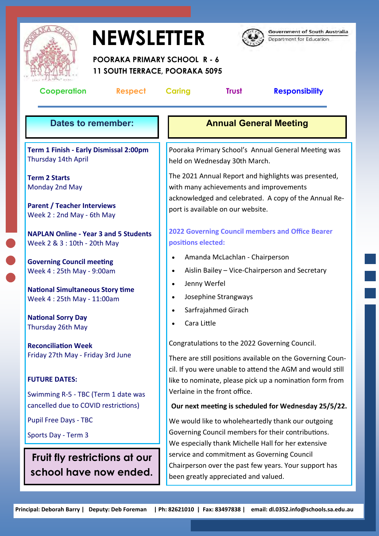

## **NEWSLETTER**



**Government of South Australia** Department for Education

 **POORAKA PRIMARY SCHOOL R - 6 11 SOUTH TERRACE, POORAKA 5095** 

| <b>Cooperation</b><br>Respect                                                                             | <b>Trust</b><br><b>Responsibility</b><br><b>Caring</b>                                                                                                                                        |
|-----------------------------------------------------------------------------------------------------------|-----------------------------------------------------------------------------------------------------------------------------------------------------------------------------------------------|
| <b>Dates to remember:</b>                                                                                 | <b>Annual General Meeting</b>                                                                                                                                                                 |
| Term 1 Finish - Early Dismissal 2:00pm<br>Thursday 14th April                                             | Pooraka Primary School's Annual General Meeting was<br>held on Wednesday 30th March.                                                                                                          |
| <b>Term 2 Starts</b><br>Monday 2nd May<br><b>Parent / Teacher Interviews</b><br>Week 2: 2nd May - 6th May | The 2021 Annual Report and highlights was presented,<br>with many achievements and improvements<br>acknowledged and celebrated. A copy of the Annual Re-<br>port is available on our website. |
| <b>NAPLAN Online - Year 3 and 5 Students</b><br>Week 2 & 3 : 10th - 20th May                              | <b>2022 Governing Council members and Office Bearer</b><br>positions elected:                                                                                                                 |
| <b>Governing Council meeting</b><br>Week 4:25th May - 9:00am                                              | Amanda McLachlan - Chairperson<br>Aislin Bailey - Vice-Chairperson and Secretary<br>$\bullet$                                                                                                 |
| <b>National Simultaneous Story time</b><br>Week 4:25th May - 11:00am                                      | Jenny Werfel<br>$\bullet$<br>Josephine Strangways<br>$\bullet$                                                                                                                                |
| <b>National Sorry Day</b><br>Thursday 26th May                                                            | Sarfrajahmed Girach<br>$\bullet$<br>Cara Little                                                                                                                                               |
| <b>Reconciliation Week</b><br>Friday 27th May - Friday 3rd June                                           | Congratulations to the 2022 Governing Council.<br>There are still positions available on the Governing Coun-                                                                                  |
| <b>FUTURE DATES:</b><br>Swimming R-5 - TBC (Term 1 date was                                               | cil. If you were unable to attend the AGM and would still<br>like to nominate, please pick up a nomination form from<br>Verlaine in the front office.                                         |
| cancelled due to COVID restrictions)                                                                      | Our next meeting is scheduled for Wednesday 25/5/22.                                                                                                                                          |
| <b>Pupil Free Days - TBC</b><br>Sports Day - Term 3                                                       | We would like to wholeheartedly thank our outgoing<br>Governing Council members for their contributions.<br>We especially thank Michelle Hall for her extensive                               |
| Fruit fly restrictions at our<br>school have now ended.                                                   | service and commitment as Governing Council<br>Chairperson over the past few years. Your support has<br>been greatly appreciated and valued.                                                  |